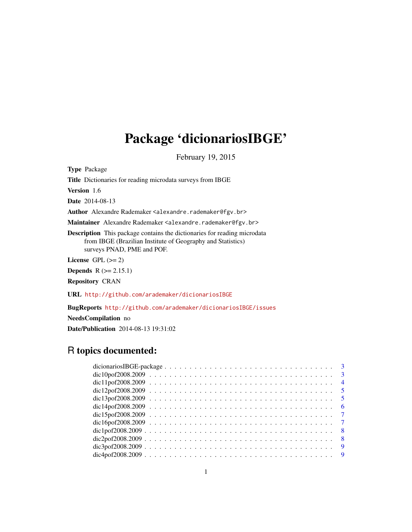# Package 'dicionariosIBGE'

February 19, 2015

Type Package

Title Dictionaries for reading microdata surveys from IBGE

Version 1.6

Date 2014-08-13

Author Alexandre Rademaker <alexandre.rademaker@fgv.br>

Maintainer Alexandre Rademaker <alexandre.rademaker@fgv.br>

Description This package contains the dictionaries for reading microdata from IBGE (Brazilian Institute of Geography and Statistics) surveys PNAD, PME and POF.

License GPL  $(>= 2)$ 

**Depends**  $R$  ( $>= 2.15.1$ )

Repository CRAN

URL <http://github.com/arademaker/dicionariosIBGE>

BugReports <http://github.com/arademaker/dicionariosIBGE/issues>

NeedsCompilation no

Date/Publication 2014-08-13 19:31:02

# R topics documented: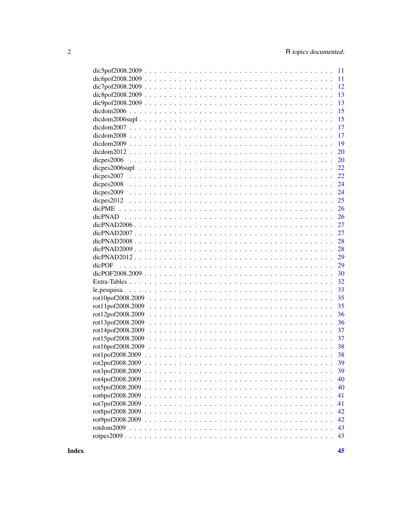|                   |               | 11 |
|-------------------|---------------|----|
|                   |               | 11 |
|                   |               | 12 |
|                   |               | 13 |
|                   |               | 13 |
|                   |               | 15 |
|                   |               | 15 |
|                   |               | 17 |
|                   |               | 17 |
|                   |               | 19 |
|                   |               | 20 |
| dicpes2006        |               | 20 |
| dicpes2006supl    |               | 22 |
| dicpes2007        |               | 22 |
| dicpes 2008       |               | 24 |
| dicpes 2009       |               | 24 |
| dicpes2012        |               | 25 |
|                   |               | 26 |
| dicPNAD           |               | 26 |
|                   |               | 27 |
|                   |               | 27 |
|                   |               | 28 |
|                   |               | 28 |
|                   |               | 29 |
| dicPOF            |               | 29 |
|                   |               | 30 |
|                   |               | 32 |
|                   |               | 33 |
| rot10pof2008.2009 |               | 35 |
| rot11pof2008.2009 |               | 35 |
| rot12pof2008.2009 |               | 36 |
| rot13pof2008.2009 |               | 36 |
| rot14pof2008.2009 |               | 37 |
| rot15pof2008.2009 |               | 37 |
| rot16pof2008.2009 |               | 38 |
| rot1pof2008.2009  |               | 38 |
| rot2pof2008.2009  |               | 39 |
| rot3pof2008.2009. |               | 39 |
| rot4pof2008.2009. |               | 40 |
| rot5pof2008.2009. |               | 40 |
| rot6pof2008.2009. |               | 41 |
| rot7pof2008.2009. |               | 41 |
| rot8pof2008.2009. |               | 42 |
| rot9pof2008.2009. |               | 42 |
|                   |               | 43 |
|                   | rotpes $2009$ | 43 |
|                   |               |    |

**Index**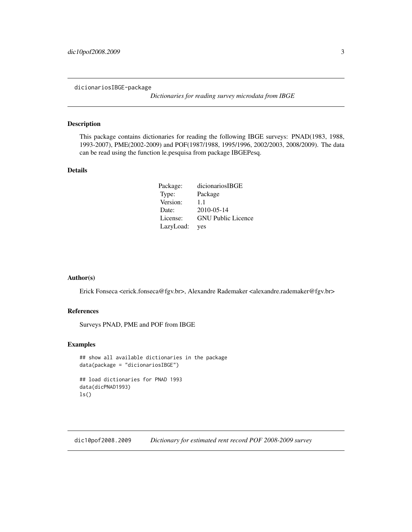<span id="page-2-0"></span>dicionariosIBGE-package

*Dictionaries for reading survey microdata from IBGE*

## Description

This package contains dictionaries for reading the following IBGE surveys: PNAD(1983, 1988, 1993-2007), PME(2002-2009) and POF(1987/1988, 1995/1996, 2002/2003, 2008/2009). The data can be read using the function le.pesquisa from package IBGEPesq.

# Details

| Package:  | dicionariosIBGE           |
|-----------|---------------------------|
| Type:     | Package                   |
| Version:  | 1.1                       |
| Date:     | 2010-05-14                |
| License:  | <b>GNU</b> Public Licence |
| LazyLoad: | yes                       |

#### Author(s)

Erick Fonseca <erick.fonseca@fgv.br>, Alexandre Rademaker <alexandre.rademaker@fgv.br>

# References

Surveys PNAD, PME and POF from IBGE

# Examples

```
## show all available dictionaries in the package
data(package = "dicionariosIBGE")
## load dictionaries for PNAD 1993
data(dicPNAD1993)
ls()
```
dic10pof2008.2009 *Dictionary for estimated rent record POF 2008-2009 survey*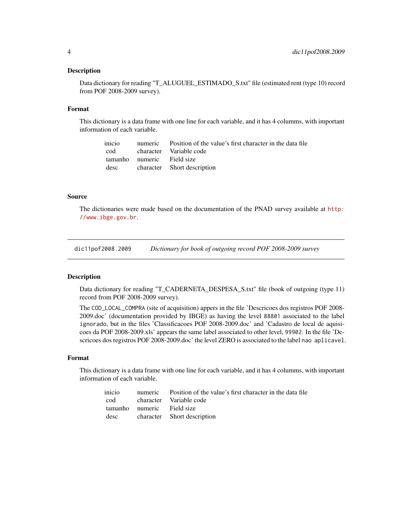#### <span id="page-3-0"></span>**Description**

Data dictionary for reading "T\_ALUGUEL\_ESTIMADO\_S.txt" file (estimated rent (type 10) record from POF 2008-2009 survey).

#### Format

This dictionary is a data frame with one line for each variable, and it has 4 columms, with important information of each variable.

|                            | inicio numeric Position of the value's first character in the data file |
|----------------------------|-------------------------------------------------------------------------|
|                            | cod character Variable code                                             |
| tamanho numeric Field size |                                                                         |
|                            | desc character Short description                                        |

## Source

The dictionaries were made based on the documentation of the PNAD survey available at [http:](http://www.ibge.gov.br) [//www.ibge.gov.br](http://www.ibge.gov.br).

dic11pof2008.2009 *Dictionary for book of outgoing record POF 2008-2009 survey*

# Description

Data dictionary for reading "T\_CADERNETA\_DESPESA\_S.txt" file (book of outgoing (type 11) record from POF 2008-2009 survey).

The COD\_LOCAL\_COMPRA (site of acquisition) appers in the file 'Descricoes dos registros POF 2008- 2009.doc' (documentation provided by IBGE) as having the level 88801 associated to the label ignorado, but in the files 'Classificacoes POF 2008-2009.doc' and 'Cadastro de local de aquisicoes da POF 2008-2009.xls' appears the same label associated to other level, 99902. In the file 'Descricoes dos registros POF 2008-2009.doc' the level ZERO is associated to the label nao aplicavel.

#### Format

This dictionary is a data frame with one line for each variable, and it has 4 columms, with important information of each variable.

|                            | inicio numeric Position of the value's first character in the data file |
|----------------------------|-------------------------------------------------------------------------|
|                            | cod character Variable code                                             |
| tamanho numeric Field size |                                                                         |
|                            | desc character Short description                                        |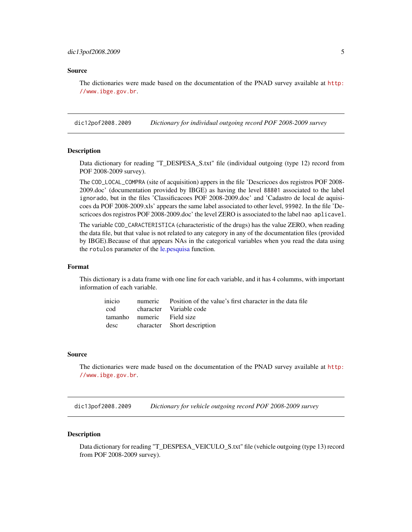<span id="page-4-0"></span>The dictionaries were made based on the documentation of the PNAD survey available at [http:](http://www.ibge.gov.br) [//www.ibge.gov.br](http://www.ibge.gov.br).

dic12pof2008.2009 *Dictionary for individual outgoing record POF 2008-2009 survey*

#### Description

Data dictionary for reading "T\_DESPESA\_S.txt" file (individual outgoing (type 12) record from POF 2008-2009 survey).

The COD\_LOCAL\_COMPRA (site of acquisition) appers in the file 'Descricoes dos registros POF 2008- 2009.doc' (documentation provided by IBGE) as having the level 88801 associated to the label ignorado, but in the files 'Classificacoes POF 2008-2009.doc' and 'Cadastro de local de aquisicoes da POF 2008-2009.xls' appears the same label associated to other level, 99902. In the file 'Descricoes dos registros POF 2008-2009.doc' the level ZERO is associated to the label nao aplicavel.

The variable COD\_CARACTERISTICA (characteristic of the drugs) has the value ZERO, when reading the data file, but that value is not related to any category in any of the documentation files (provided by IBGE).Because of that appears NAs in the categorical variables when you read the data using the rotulos parameter of the [le.pesquisa](#page-32-1) function.

# Format

This dictionary is a data frame with one line for each variable, and it has 4 columms, with important information of each variable.

|                            | inicio numeric Position of the value's first character in the data file |
|----------------------------|-------------------------------------------------------------------------|
|                            | cod character Variable code                                             |
| tamanho numeric Field size |                                                                         |
|                            | desc character Short description                                        |

#### Source

The dictionaries were made based on the documentation of the PNAD survey available at [http:](http://www.ibge.gov.br) [//www.ibge.gov.br](http://www.ibge.gov.br).

dic13pof2008.2009 *Dictionary for vehicle outgoing record POF 2008-2009 survey*

#### **Description**

Data dictionary for reading "T\_DESPESA\_VEICULO\_S.txt" file (vehicle outgoing (type 13) record from POF 2008-2009 survey).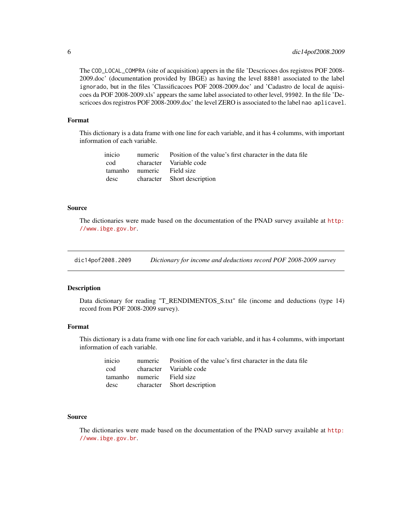<span id="page-5-0"></span>The COD\_LOCAL\_COMPRA (site of acquisition) appers in the file 'Descricoes dos registros POF 2008- 2009.doc' (documentation provided by IBGE) as having the level 88801 associated to the label ignorado, but in the files 'Classificacoes POF 2008-2009.doc' and 'Cadastro de local de aquisicoes da POF 2008-2009.xls' appears the same label associated to other level, 99902. In the file 'Descricoes dos registros POF 2008-2009.doc' the level ZERO is associated to the label nao aplicavel.

#### Format

This dictionary is a data frame with one line for each variable, and it has 4 columms, with important information of each variable.

|                            | inicio numeric Position of the value's first character in the data file |
|----------------------------|-------------------------------------------------------------------------|
|                            | cod character Variable code                                             |
| tamanho numeric Field size |                                                                         |
|                            | desc character Short description                                        |

## Source

The dictionaries were made based on the documentation of the PNAD survey available at [http:](http://www.ibge.gov.br) [//www.ibge.gov.br](http://www.ibge.gov.br).

dic14pof2008.2009 *Dictionary for income and deductions record POF 2008-2009 survey*

# Description

Data dictionary for reading "T\_RENDIMENTOS\_S.txt" file (income and deductions (type 14) record from POF 2008-2009 survey).

# Format

This dictionary is a data frame with one line for each variable, and it has 4 columms, with important information of each variable.

|                            | inicio numeric Position of the value's first character in the data file |
|----------------------------|-------------------------------------------------------------------------|
|                            | cod character Variable code                                             |
| tamanho numeric Field size |                                                                         |
|                            | desc character Short description                                        |

## Source

The dictionaries were made based on the documentation of the PNAD survey available at [http:](http://www.ibge.gov.br) [//www.ibge.gov.br](http://www.ibge.gov.br).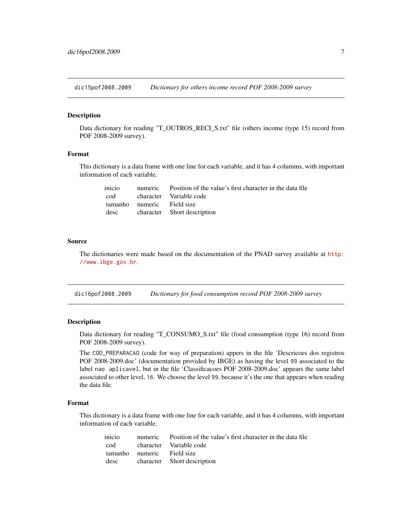<span id="page-6-0"></span>dic15pof2008.2009 *Dictionary for others income record POF 2008-2009 survey*

#### Description

Data dictionary for reading "T\_OUTROS\_RECI\_S.txt" file (others income (type 15) record from POF 2008-2009 survey).

## Format

This dictionary is a data frame with one line for each variable, and it has 4 columms, with important information of each variable.

|                            | inicio numeric Position of the value's first character in the data file |
|----------------------------|-------------------------------------------------------------------------|
|                            | cod character Variable code                                             |
| tamanho numeric Field size |                                                                         |
|                            | desc character Short description                                        |

#### Source

The dictionaries were made based on the documentation of the PNAD survey available at [http:](http://www.ibge.gov.br) [//www.ibge.gov.br](http://www.ibge.gov.br).

dic16pof2008.2009 *Dictionary for food consumption record POF 2008-2009 survey*

#### Description

Data dictionary for reading "T\_CONSUMO\_S.txt" file (food consumption (type 16) record from POF 2008-2009 survey).

The COD\_PREPARACAO (code for way of preparation) appers in the file 'Descricoes dos registros POF 2008-2009.doc' (documentation provided by IBGE) as having the level 99 associated to the label nao aplicavel, but in the file 'Classificacoes POF 2008-2009.doc' appears the same label associated to other level, 16. We choose the level 99, because it's the one that appears when reading the data file.

# Format

This dictionary is a data frame with one line for each variable, and it has 4 columms, with important information of each variable.

| inicio |                            | numeric Position of the value's first character in the data file |
|--------|----------------------------|------------------------------------------------------------------|
|        |                            | cod character Variable code                                      |
|        | tamanho numeric Field size |                                                                  |
| desc   |                            | character Short description                                      |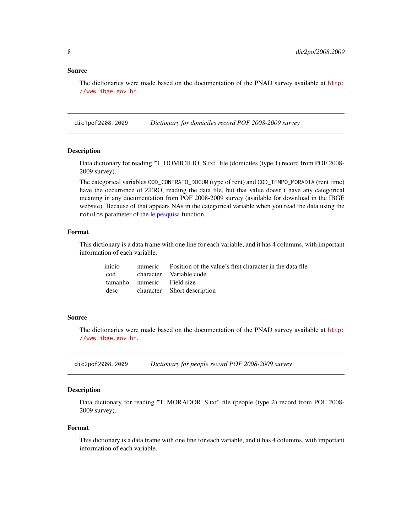<span id="page-7-0"></span>The dictionaries were made based on the documentation of the PNAD survey available at [http:](http://www.ibge.gov.br) [//www.ibge.gov.br](http://www.ibge.gov.br).

dic1pof2008.2009 *Dictionary for domiciles record POF 2008-2009 survey*

# Description

Data dictionary for reading "T\_DOMICILIO\_S.txt" file (domiciles (type 1) record from POF 2008- 2009 survey).

The categorical variables COD\_CONTRATO\_DOCUM (type of rent) and COD\_TEMPO\_MORADIA (rent time) have the occurrence of ZERO, reading the data file, but that value doesn't have any categorical meaning in any documentation from POF 2008-2009 survey (available for download in the IBGE website). Because of that appears NAs in the categorical variable when you read the data using the rotulos parameter of the [le.pesquisa](#page-32-1) function.

# Format

This dictionary is a data frame with one line for each variable, and it has 4 columms, with important information of each variable.

|                            | inicio numeric Position of the value's first character in the data file |
|----------------------------|-------------------------------------------------------------------------|
|                            | cod character Variable code                                             |
| tamanho numeric Field size |                                                                         |
|                            | desc character Short description                                        |

#### Source

The dictionaries were made based on the documentation of the PNAD survey available at [http:](http://www.ibge.gov.br) [//www.ibge.gov.br](http://www.ibge.gov.br).

dic2pof2008.2009 *Dictionary for people record POF 2008-2009 survey*

#### **Description**

Data dictionary for reading "T\_MORADOR\_S.txt" file (people (type 2) record from POF 2008- 2009 survey).

# Format

This dictionary is a data frame with one line for each variable, and it has 4 columms, with important information of each variable.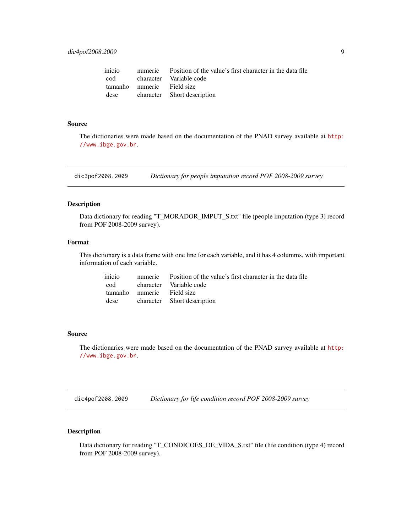<span id="page-8-0"></span>

|                            | inicio numeric Position of the value's first character in the data file |
|----------------------------|-------------------------------------------------------------------------|
|                            | cod character Variable code                                             |
| tamanho numeric Field size |                                                                         |
|                            | desc character Short description                                        |

The dictionaries were made based on the documentation of the PNAD survey available at [http:](http://www.ibge.gov.br) [//www.ibge.gov.br](http://www.ibge.gov.br).

dic3pof2008.2009 *Dictionary for people imputation record POF 2008-2009 survey*

# Description

Data dictionary for reading "T\_MORADOR\_IMPUT\_S.txt" file (people imputation (type 3) record from POF 2008-2009 survey).

## Format

This dictionary is a data frame with one line for each variable, and it has 4 columms, with important information of each variable.

|                            | inicio numeric Position of the value's first character in the data file |
|----------------------------|-------------------------------------------------------------------------|
|                            | cod character Variable code                                             |
| tamanho numeric Field size |                                                                         |
|                            | desc character Short description                                        |

## Source

The dictionaries were made based on the documentation of the PNAD survey available at [http:](http://www.ibge.gov.br) [//www.ibge.gov.br](http://www.ibge.gov.br).

dic4pof2008.2009 *Dictionary for life condition record POF 2008-2009 survey*

# Description

Data dictionary for reading "T\_CONDICOES\_DE\_VIDA\_S.txt" file (life condition (type 4) record from POF 2008-2009 survey).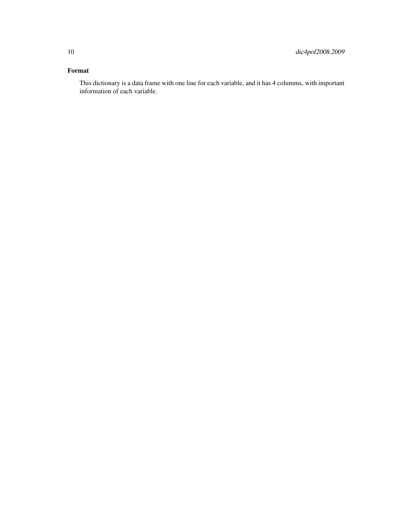# Format

This dictionary is a data frame with one line for each variable, and it has 4 columms, with important information of each variable.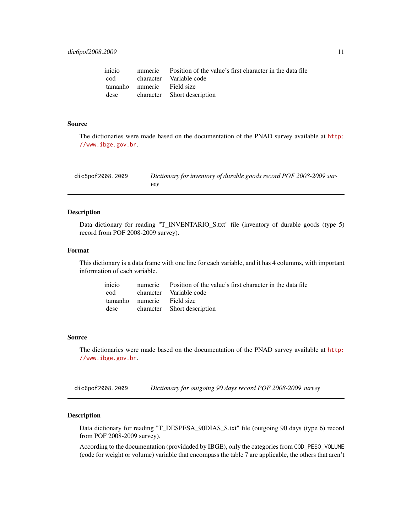<span id="page-10-0"></span>

|                            | inicio numeric Position of the value's first character in the data file |
|----------------------------|-------------------------------------------------------------------------|
|                            | cod character Variable code                                             |
| tamanho numeric Field size |                                                                         |
|                            | desc character Short description                                        |

The dictionaries were made based on the documentation of the PNAD survey available at [http:](http://www.ibge.gov.br) [//www.ibge.gov.br](http://www.ibge.gov.br).

| dic5pof2008.2009 | Dictionary for inventory of durable goods record POF 2008-2009 sur- |
|------------------|---------------------------------------------------------------------|
|                  | vev                                                                 |

#### Description

Data dictionary for reading "T\_INVENTARIO\_S.txt" file (inventory of durable goods (type 5) record from POF 2008-2009 survey).

#### Format

This dictionary is a data frame with one line for each variable, and it has 4 columms, with important information of each variable.

|                            | inicio numeric Position of the value's first character in the data file |
|----------------------------|-------------------------------------------------------------------------|
|                            | cod character Variable code                                             |
| tamanho numeric Field size |                                                                         |
|                            | desc character Short description                                        |

# Source

The dictionaries were made based on the documentation of the PNAD survey available at [http:](http://www.ibge.gov.br) [//www.ibge.gov.br](http://www.ibge.gov.br).

dic6pof2008.2009 *Dictionary for outgoing 90 days record POF 2008-2009 survey*

# Description

Data dictionary for reading "T\_DESPESA\_90DIAS\_S.txt" file (outgoing 90 days (type 6) record from POF 2008-2009 survey).

According to the documentation (providaded by IBGE), only the categories from COD\_PESO\_VOLUME (code for weight or volume) variable that encompass the table 7 are applicable, the others that aren't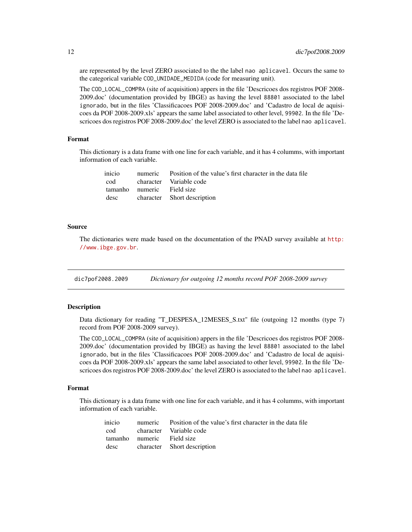are represented by the level ZERO associated to the the label nao aplicavel. Occurs the same to the categorical variable COD\_UNIDADE\_MEDIDA (code for measuring unit).

The COD\_LOCAL\_COMPRA (site of acquisition) appers in the file 'Descricoes dos registros POF 2008- 2009.doc' (documentation provided by IBGE) as having the level 88801 associated to the label ignorado, but in the files 'Classificacoes POF 2008-2009.doc' and 'Cadastro de local de aquisicoes da POF 2008-2009.xls' appears the same label associated to other level, 99902. In the file 'Descricoes dos registros POF 2008-2009.doc' the level ZERO is associated to the label nao aplicavel.

#### Format

This dictionary is a data frame with one line for each variable, and it has 4 columms, with important information of each variable.

| inicio |                            | numeric Position of the value's first character in the data file |
|--------|----------------------------|------------------------------------------------------------------|
|        |                            | cod character Variable code                                      |
|        | tamanho numeric Field size |                                                                  |
| desc   |                            | character Short description                                      |

#### Source

The dictionaries were made based on the documentation of the PNAD survey available at [http:](http://www.ibge.gov.br) [//www.ibge.gov.br](http://www.ibge.gov.br).

dic7pof2008.2009 *Dictionary for outgoing 12 months record POF 2008-2009 survey*

# Description

Data dictionary for reading "T\_DESPESA\_12MESES\_S.txt" file (outgoing 12 months (type 7) record from POF 2008-2009 survey).

The COD\_LOCAL\_COMPRA (site of acquisition) appers in the file 'Descricoes dos registros POF 2008- 2009.doc' (documentation provided by IBGE) as having the level 88801 associated to the label ignorado, but in the files 'Classificacoes POF 2008-2009.doc' and 'Cadastro de local de aquisicoes da POF 2008-2009.xls' appears the same label associated to other level, 99902. In the file 'Descricoes dos registros POF 2008-2009.doc' the level ZERO is associated to the label nao aplicavel.

#### Format

This dictionary is a data frame with one line for each variable, and it has 4 columms, with important information of each variable.

| inicio |                            | numeric Position of the value's first character in the data file |
|--------|----------------------------|------------------------------------------------------------------|
|        |                            | cod character Variable code                                      |
|        | tamanho numeric Field size |                                                                  |
|        |                            | desc character Short description                                 |

<span id="page-11-0"></span>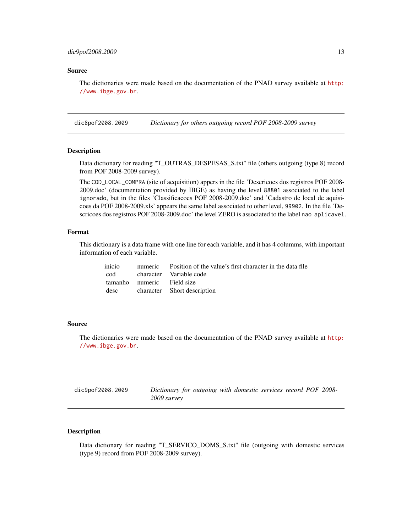<span id="page-12-0"></span>The dictionaries were made based on the documentation of the PNAD survey available at [http:](http://www.ibge.gov.br) [//www.ibge.gov.br](http://www.ibge.gov.br).

dic8pof2008.2009 *Dictionary for others outgoing record POF 2008-2009 survey*

# Description

Data dictionary for reading "T\_OUTRAS\_DESPESAS\_S.txt" file (others outgoing (type 8) record from POF 2008-2009 survey).

The COD\_LOCAL\_COMPRA (site of acquisition) appers in the file 'Descricoes dos registros POF 2008- 2009.doc' (documentation provided by IBGE) as having the level 88801 associated to the label ignorado, but in the files 'Classificacoes POF 2008-2009.doc' and 'Cadastro de local de aquisicoes da POF 2008-2009.xls' appears the same label associated to other level, 99902. In the file 'Descricoes dos registros POF 2008-2009.doc' the level ZERO is associated to the label nao aplicavel.

# Format

This dictionary is a data frame with one line for each variable, and it has 4 columms, with important information of each variable.

|                            | inicio numeric Position of the value's first character in the data file |
|----------------------------|-------------------------------------------------------------------------|
|                            | cod character Variable code                                             |
| tamanho numeric Field size |                                                                         |
|                            | desc character Short description                                        |

#### Source

The dictionaries were made based on the documentation of the PNAD survey available at [http:](http://www.ibge.gov.br) [//www.ibge.gov.br](http://www.ibge.gov.br).

| dic9pof2008.2009 | Dictionary for outgoing with domestic services record POF 2008- |  |
|------------------|-----------------------------------------------------------------|--|
|                  | 2009 survey                                                     |  |

# Description

Data dictionary for reading "T\_SERVICO\_DOMS\_S.txt" file (outgoing with domestic services (type 9) record from POF 2008-2009 survey).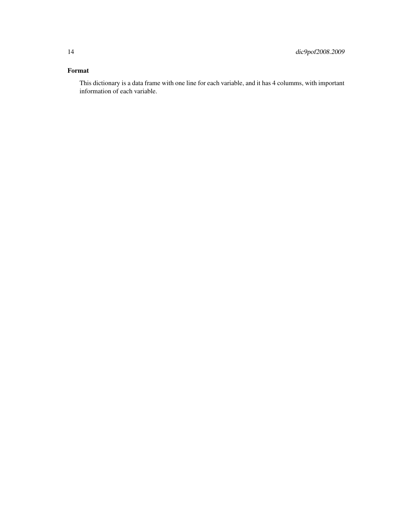# Format

This dictionary is a data frame with one line for each variable, and it has 4 columms, with important information of each variable.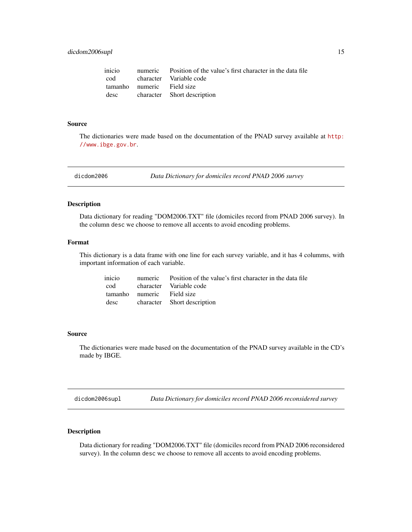<span id="page-14-0"></span>

|                            | inicio numeric Position of the value's first character in the data file |
|----------------------------|-------------------------------------------------------------------------|
|                            | cod character Variable code                                             |
| tamanho numeric Field size |                                                                         |
|                            | desc character Short description                                        |

The dictionaries were made based on the documentation of the PNAD survey available at [http:](http://www.ibge.gov.br) [//www.ibge.gov.br](http://www.ibge.gov.br).

<span id="page-14-1"></span>dicdom2006 *Data Dictionary for domiciles record PNAD 2006 survey*

# Description

Data dictionary for reading "DOM2006.TXT" file (domiciles record from PNAD 2006 survey). In the column desc we choose to remove all accents to avoid encoding problems.

#### Format

This dictionary is a data frame with one line for each survey variable, and it has 4 columms, with important information of each variable.

|                            | inicio numeric Position of the value's first character in the data file |
|----------------------------|-------------------------------------------------------------------------|
|                            | cod character Variable code                                             |
| tamanho numeric Field size |                                                                         |
|                            | desc character Short description                                        |

#### Source

The dictionaries were made based on the documentation of the PNAD survey available in the CD's made by IBGE.

<span id="page-14-2"></span>dicdom2006supl *Data Dictionary for domiciles record PNAD 2006 reconsidered survey*

# Description

Data dictionary for reading "DOM2006.TXT" file (domiciles record from PNAD 2006 reconsidered survey). In the column desc we choose to remove all accents to avoid encoding problems.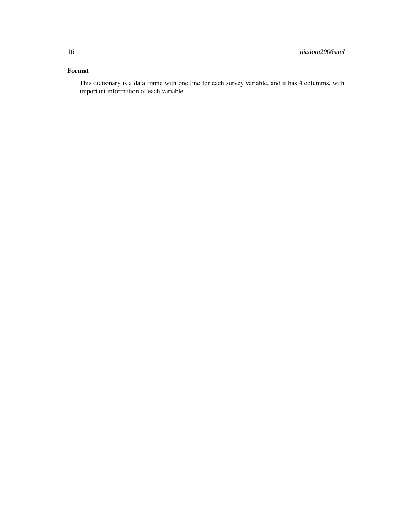# Format

This dictionary is a data frame with one line for each survey variable, and it has 4 columms, with important information of each variable.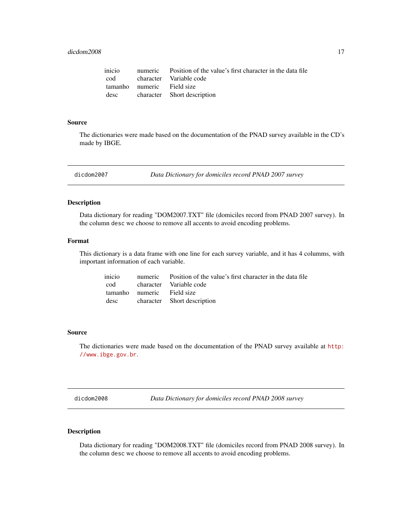#### <span id="page-16-0"></span>dicdom2008 17

|                            | inicio numeric Position of the value's first character in the data file |
|----------------------------|-------------------------------------------------------------------------|
|                            | cod character Variable code                                             |
| tamanho numeric Field size |                                                                         |
|                            | desc character Short description                                        |

#### Source

The dictionaries were made based on the documentation of the PNAD survey available in the CD's made by IBGE.

<span id="page-16-1"></span>

dicdom2007 *Data Dictionary for domiciles record PNAD 2007 survey*

# Description

Data dictionary for reading "DOM2007.TXT" file (domiciles record from PNAD 2007 survey). In the column desc we choose to remove all accents to avoid encoding problems.

#### Format

This dictionary is a data frame with one line for each survey variable, and it has 4 columms, with important information of each variable.

|                            | inicio numeric Position of the value's first character in the data file |
|----------------------------|-------------------------------------------------------------------------|
|                            | cod character Variable code                                             |
| tamanho numeric Field size |                                                                         |
|                            | desc character Short description                                        |

#### Source

The dictionaries were made based on the documentation of the PNAD survey available at [http:](http://www.ibge.gov.br) [//www.ibge.gov.br](http://www.ibge.gov.br).

<span id="page-16-2"></span>dicdom2008 *Data Dictionary for domiciles record PNAD 2008 survey*

# Description

Data dictionary for reading "DOM2008.TXT" file (domiciles record from PNAD 2008 survey). In the column desc we choose to remove all accents to avoid encoding problems.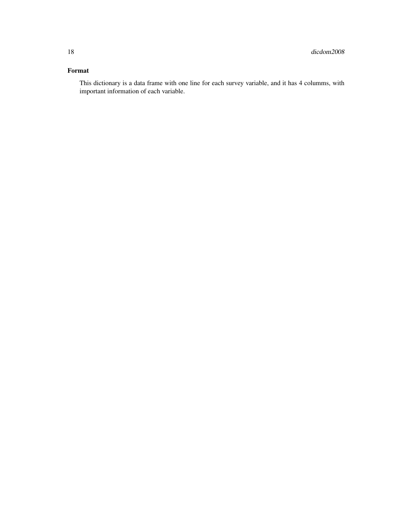# Format

This dictionary is a data frame with one line for each survey variable, and it has 4 columms, with important information of each variable.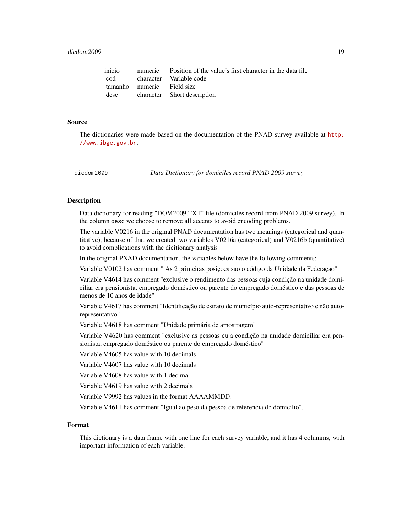<span id="page-18-0"></span>

|                            | inicio numeric Position of the value's first character in the data file |
|----------------------------|-------------------------------------------------------------------------|
|                            | cod character Variable code                                             |
| tamanho numeric Field size |                                                                         |
|                            | desc character Short description                                        |

The dictionaries were made based on the documentation of the PNAD survey available at [http:](http://www.ibge.gov.br) [//www.ibge.gov.br](http://www.ibge.gov.br).

<span id="page-18-1"></span>

dicdom2009 *Data Dictionary for domiciles record PNAD 2009 survey*

#### **Description**

Data dictionary for reading "DOM2009.TXT" file (domiciles record from PNAD 2009 survey). In the column desc we choose to remove all accents to avoid encoding problems.

The variable V0216 in the original PNAD documentation has two meanings (categorical and quantitative), because of that we created two variables V0216a (categorical) and V0216b (quantitative) to avoid complications with the dicitionary analysis

In the original PNAD documentation, the variables below have the following comments:

Variable V0102 has comment " As 2 primeiras posições são o código da Unidade da Federação"

Variable V4614 has comment "exclusive o rendimento das pessoas cuja condição na unidade domiciliar era pensionista, empregado doméstico ou parente do empregado doméstico e das pessoas de menos de 10 anos de idade"

Variable V4617 has comment "Identificação de estrato de município auto-representativo e não autorepresentativo"

Variable V4618 has comment "Unidade primária de amostragem"

Variable V4620 has comment "exclusive as pessoas cuja condição na unidade domiciliar era pensionista, empregado doméstico ou parente do empregado doméstico"

Variable V4605 has value with 10 decimals

Variable V4607 has value with 10 decimals

Variable V4608 has value with 1 decimal

Variable V4619 has value with 2 decimals

Variable V9992 has values in the format AAAAMMDD.

Variable V4611 has comment "Igual ao peso da pessoa de referencia do domicilio".

## Format

This dictionary is a data frame with one line for each survey variable, and it has 4 columms, with important information of each variable.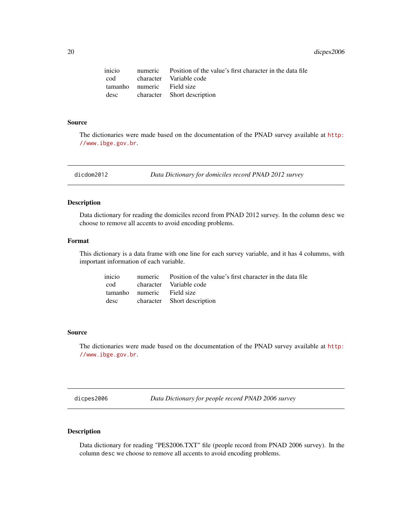<span id="page-19-0"></span>20 dicpes2006

|                            | inicio numeric Position of the value's first character in the data file |
|----------------------------|-------------------------------------------------------------------------|
|                            | cod character Variable code                                             |
| tamanho numeric Field size |                                                                         |
|                            | desc character Short description                                        |

#### Source

The dictionaries were made based on the documentation of the PNAD survey available at [http:](http://www.ibge.gov.br) [//www.ibge.gov.br](http://www.ibge.gov.br).

<span id="page-19-2"></span>dicdom2012 *Data Dictionary for domiciles record PNAD 2012 survey*

# Description

Data dictionary for reading the domiciles record from PNAD 2012 survey. In the column desc we choose to remove all accents to avoid encoding problems.

#### Format

This dictionary is a data frame with one line for each survey variable, and it has 4 columms, with important information of each variable.

|                            | inicio numeric Position of the value's first character in the data file |
|----------------------------|-------------------------------------------------------------------------|
|                            | cod character Variable code                                             |
| tamanho numeric Field size |                                                                         |
|                            | desc character Short description                                        |

#### Source

The dictionaries were made based on the documentation of the PNAD survey available at [http:](http://www.ibge.gov.br) [//www.ibge.gov.br](http://www.ibge.gov.br).

<span id="page-19-1"></span>dicpes2006 *Data Dictionary for people record PNAD 2006 survey*

# Description

Data dictionary for reading "PES2006.TXT" file (people record from PNAD 2006 survey). In the column desc we choose to remove all accents to avoid encoding problems.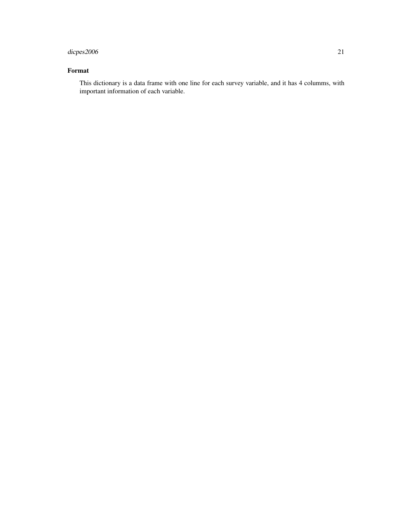# dicpes2006 21

# Format

This dictionary is a data frame with one line for each survey variable, and it has 4 columms, with important information of each variable.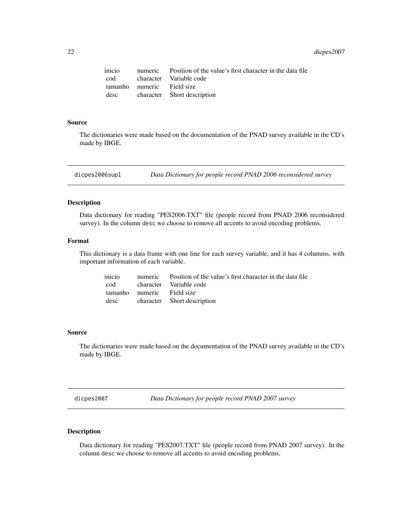<span id="page-21-0"></span>22 dicpes2007

|                            | inicio numeric Position of the value's first character in the data file |
|----------------------------|-------------------------------------------------------------------------|
|                            | cod character Variable code                                             |
| tamanho numeric Field size |                                                                         |
|                            | desc character Short description                                        |

#### Source

The dictionaries were made based on the documentation of the PNAD survey available in the CD's made by IBGE.

<span id="page-21-1"></span>dicpes2006supl *Data Dictionary for people record PNAD 2006 reconsidered survey*

# Description

Data dictionary for reading "PES2006.TXT" file (people record from PNAD 2006 reconsidered survey). In the column desc we choose to remove all accents to avoid encoding problems.

#### Format

This dictionary is a data frame with one line for each survey variable, and it has 4 columms, with important information of each variable.

|                            | inicio numeric Position of the value's first character in the data file |
|----------------------------|-------------------------------------------------------------------------|
|                            | cod character Variable code                                             |
| tamanho numeric Field size |                                                                         |
|                            | desc character Short description                                        |

#### Source

The dictionaries were made based on the documentation of the PNAD survey available in the CD's made by IBGE.

<span id="page-21-2"></span>dicpes2007 *Data Dictionary for people record PNAD 2007 survey*

# Description

Data dictionary for reading "PES2007.TXT" file (people record from PNAD 2007 survey). In the column desc we choose to remove all accents to avoid encoding problems.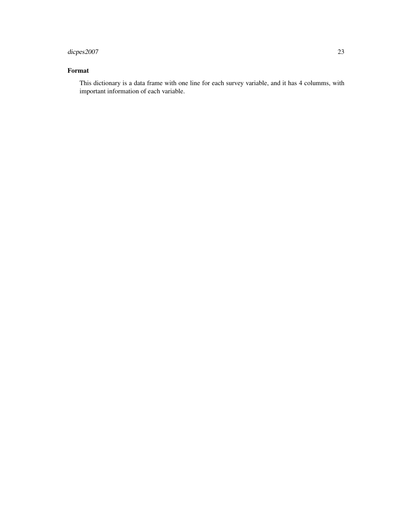# dicpes2007 23

# Format

This dictionary is a data frame with one line for each survey variable, and it has 4 columms, with important information of each variable.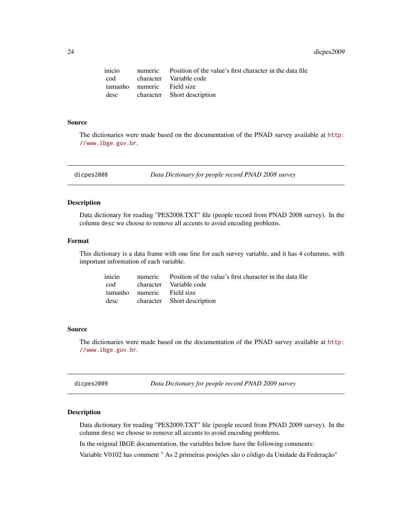<span id="page-23-0"></span>24 dicpes2009

|                            | inicio numeric Position of the value's first character in the data file |
|----------------------------|-------------------------------------------------------------------------|
|                            | cod character Variable code                                             |
| tamanho numeric Field size |                                                                         |
|                            | desc character Short description                                        |

#### Source

The dictionaries were made based on the documentation of the PNAD survey available at [http:](http://www.ibge.gov.br) [//www.ibge.gov.br](http://www.ibge.gov.br).

<span id="page-23-1"></span>

dicpes2008 *Data Dictionary for people record PNAD 2008 survey*

# Description

Data dictionary for reading "PES2008.TXT" file (people record from PNAD 2008 survey). In the column desc we choose to remove all accents to avoid encoding problems.

#### Format

This dictionary is a data frame with one line for each survey variable, and it has 4 columms, with important information of each variable.

|                            | inicio numeric Position of the value's first character in the data file |
|----------------------------|-------------------------------------------------------------------------|
|                            | cod character Variable code                                             |
| tamanho numeric Field size |                                                                         |
|                            | desc character Short description                                        |

#### Source

The dictionaries were made based on the documentation of the PNAD survey available at [http:](http://www.ibge.gov.br) [//www.ibge.gov.br](http://www.ibge.gov.br).

<span id="page-23-2"></span>dicpes2009 *Data Dictionary for people record PNAD 2009 survey*

# Description

Data dictionary for reading "PES2009.TXT" file (people record from PNAD 2009 survey). In the column desc we choose to remove all accents to avoid encoding problems.

In the original IBGE documentation, the variables below have the following comments:

Variable V0102 has comment " As 2 primeiras posições são o código da Unidade da Federação"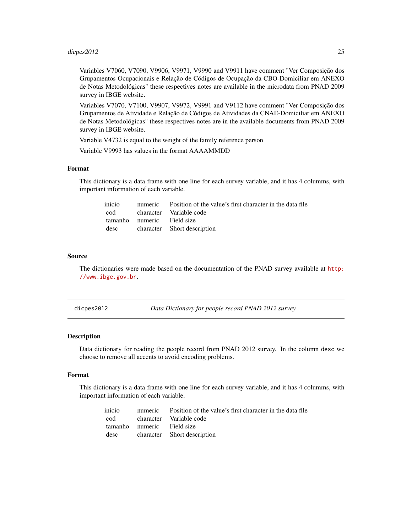# <span id="page-24-0"></span> $\frac{\text{dipes2012}}{25}$  25

Variables V7060, V7090, V9906, V9971, V9990 and V9911 have comment "Ver Composição dos Grupamentos Ocupacionais e Relação de Códigos de Ocupação da CBO-Domiciliar em ANEXO de Notas Metodológicas" these respectives notes are available in the microdata from PNAD 2009 survey in IBGE website.

Variables V7070, V7100, V9907, V9972, V9991 and V9112 have comment "Ver Composição dos Grupamentos de Atividade e Relação de Códigos de Atividades da CNAE-Domiciliar em ANEXO de Notas Metodológicas" these respectives notes are in the available documents from PNAD 2009 survey in IBGE website.

Variable V4732 is equal to the weight of the family reference person

Variable V9993 has values in the format AAAAMMDD

# Format

This dictionary is a data frame with one line for each survey variable, and it has 4 columms, with important information of each variable.

|                            | inicio numeric Position of the value's first character in the data file |
|----------------------------|-------------------------------------------------------------------------|
|                            | cod character Variable code                                             |
| tamanho numeric Field size |                                                                         |
|                            | desc character Short description                                        |

#### Source

The dictionaries were made based on the documentation of the PNAD survey available at [http:](http://www.ibge.gov.br) [//www.ibge.gov.br](http://www.ibge.gov.br).

<span id="page-24-1"></span>dicpes2012 *Data Dictionary for people record PNAD 2012 survey*

#### Description

Data dictionary for reading the people record from PNAD 2012 survey. In the column desc we choose to remove all accents to avoid encoding problems.

# Format

This dictionary is a data frame with one line for each survey variable, and it has 4 columms, with important information of each variable.

|                            | inicio numeric Position of the value's first character in the data file |
|----------------------------|-------------------------------------------------------------------------|
|                            | cod character Variable code                                             |
| tamanho numeric Field size |                                                                         |
|                            | desc character Short description                                        |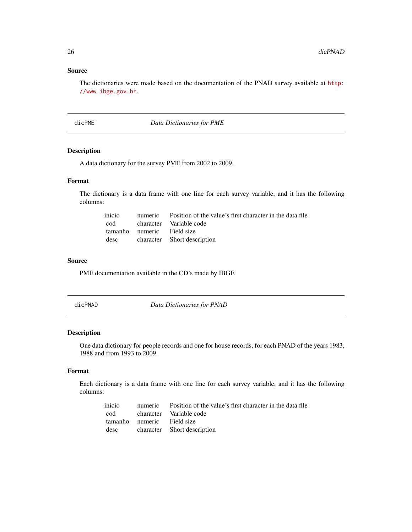<span id="page-25-0"></span>The dictionaries were made based on the documentation of the PNAD survey available at [http:](http://www.ibge.gov.br) [//www.ibge.gov.br](http://www.ibge.gov.br).

dicPME *Data Dictionaries for PME*

# Description

A data dictionary for the survey PME from 2002 to 2009.

# Format

The dictionary is a data frame with one line for each survey variable, and it has the following columns:

|                            | inicio numeric Position of the value's first character in the data file |
|----------------------------|-------------------------------------------------------------------------|
|                            | cod character Variable code                                             |
| tamanho numeric Field size |                                                                         |
|                            | desc character Short description                                        |

#### Source

PME documentation available in the CD's made by IBGE

dicPNAD *Data Dictionaries for PNAD*

# Description

One data dictionary for people records and one for house records, for each PNAD of the years 1983, 1988 and from 1993 to 2009.

# Format

Each dictionary is a data frame with one line for each survey variable, and it has the following columns:

|                            | inicio numeric Position of the value's first character in the data file |
|----------------------------|-------------------------------------------------------------------------|
|                            | cod character Variable code                                             |
| tamanho numeric Field size |                                                                         |
|                            | desc character Short description                                        |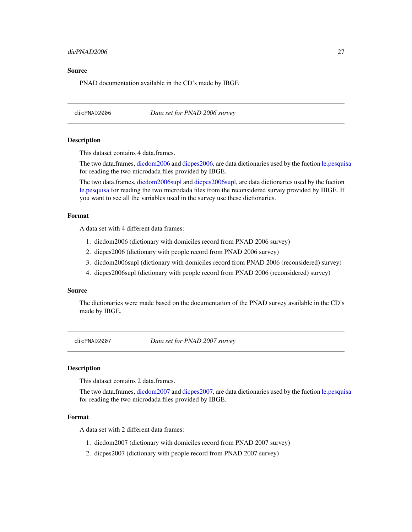# <span id="page-26-0"></span>dicPNAD2006 27

# Source

PNAD documentation available in the CD's made by IBGE

dicPNAD2006 *Data set for PNAD 2006 survey*

# Description

This dataset contains 4 data.frames.

The two data.frames, [dicdom2006](#page-14-1) and [dicpes2006,](#page-19-1) are data dictionaries used by the fuction [le.pesquisa](#page-32-1) for reading the two microdada files provided by IBGE.

The two data.frames, [dicdom2006supl](#page-14-2) and [dicpes2006supl,](#page-21-1) are data dictionaries used by the fuction [le.pesquisa](#page-32-1) for reading the two microdada files from the reconsidered survey provided by IBGE. If you want to see all the variables used in the survey use these dictionaries.

#### Format

A data set with 4 different data frames:

- 1. dicdom2006 (dictionary with domiciles record from PNAD 2006 survey)
- 2. dicpes2006 (dictionary with people record from PNAD 2006 survey)
- 3. dicdom2006supl (dictionary with domiciles record from PNAD 2006 (reconsidered) survey)
- 4. dicpes2006supl (dictionary with people record from PNAD 2006 (reconsidered) survey)

## Source

The dictionaries were made based on the documentation of the PNAD survey available in the CD's made by IBGE.

dicPNAD2007 *Data set for PNAD 2007 survey*

# Description

This dataset contains 2 data.frames.

The two data.frames, [dicdom2007](#page-16-1) and [dicpes2007,](#page-21-2) are data dictionaries used by the fuction [le.pesquisa](#page-32-1) for reading the two microdada files provided by IBGE.

# Format

A data set with 2 different data frames:

- 1. dicdom2007 (dictionary with domiciles record from PNAD 2007 survey)
- 2. dicpes2007 (dictionary with people record from PNAD 2007 survey)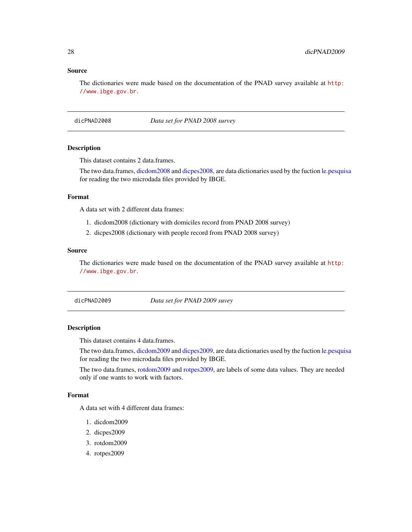<span id="page-27-0"></span>The dictionaries were made based on the documentation of the PNAD survey available at [http:](http://www.ibge.gov.br) [//www.ibge.gov.br](http://www.ibge.gov.br).

dicPNAD2008 *Data set for PNAD 2008 survey*

# **Description**

This dataset contains 2 data.frames.

The two data.frames, [dicdom2008](#page-16-2) and [dicpes2008,](#page-23-1) are data dictionaries used by the fuction [le.pesquisa](#page-32-1) for reading the two microdada files provided by IBGE.

## Format

A data set with 2 different data frames:

- 1. dicdom2008 (dictionary with domiciles record from PNAD 2008 survey)
- 2. dicpes2008 (dictionary with people record from PNAD 2008 survey)

# Source

The dictionaries were made based on the documentation of the PNAD survey available at [http:](http://www.ibge.gov.br) [//www.ibge.gov.br](http://www.ibge.gov.br).

dicPNAD2009 *Data set for PNAD 2009 suvey*

#### Description

This dataset contains 4 data.frames.

The two data.frames, [dicdom2009](#page-18-1) and [dicpes2009,](#page-23-2) are data dictionaries used by the fuction [le.pesquisa](#page-32-1) for reading the two microdada files provided by IBGE.

The two data.frames, [rotdom2009](#page-42-1) and [rotpes2009,](#page-42-2) are labels of some data values. They are needed only if one wants to work with factors.

# Format

A data set with 4 different data frames:

- 1. dicdom2009
- 2. dicpes2009
- 3. rotdom2009
- 4. rotpes2009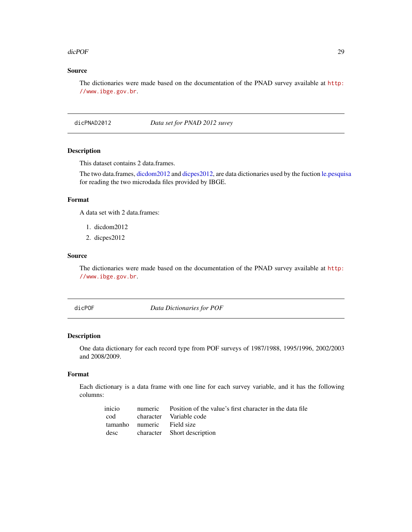#### <span id="page-28-0"></span>dicPOF 29

# Source

The dictionaries were made based on the documentation of the PNAD survey available at [http:](http://www.ibge.gov.br) [//www.ibge.gov.br](http://www.ibge.gov.br).

dicPNAD2012 *Data set for PNAD 2012 suvey*

# Description

This dataset contains 2 data.frames.

The two data.frames, [dicdom2012](#page-19-2) and [dicpes2012,](#page-24-1) are data dictionaries used by the fuction [le.pesquisa](#page-32-1) for reading the two microdada files provided by IBGE.

# Format

A data set with 2 data.frames:

- 1. dicdom2012
- 2. dicpes2012

# Source

The dictionaries were made based on the documentation of the PNAD survey available at [http:](http://www.ibge.gov.br) [//www.ibge.gov.br](http://www.ibge.gov.br).

dicPOF *Data Dictionaries for POF*

# Description

One data dictionary for each record type from POF surveys of 1987/1988, 1995/1996, 2002/2003 and 2008/2009.

# Format

Each dictionary is a data frame with one line for each survey variable, and it has the following columns:

|                            | inicio numeric Position of the value's first character in the data file |
|----------------------------|-------------------------------------------------------------------------|
|                            | cod character Variable code                                             |
| tamanho numeric Field size |                                                                         |
|                            | desc character Short description                                        |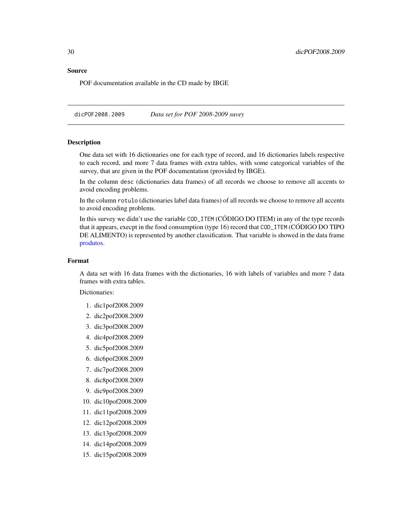<span id="page-29-0"></span>POF documentation available in the CD made by IBGE

dicPOF2008.2009 *Data set for POF 2008-2009 suvey*

## Description

One data set with 16 dictionaries one for each type of record, and 16 dictionaries labels respective to each record, and more 7 data frames with extra tables, with some categorical variables of the survey, that are given in the POF documentation (provided by IBGE).

In the column desc (dictionaries data frames) of all records we choose to remove all accents to avoid encoding problems.

In the column rotulo (dictionaries label data frames) of all records we choose to remove all accents to avoid encoding problems.

In this survey we didn't use the variable COD\_ITEM (CÓDIGO DO ITEM) in any of the type records that it appears, execpt in the food consumption (type 16) record that COD\_ITEM (CÓDIGO DO TIPO DE ALIMENTO) is represented by another classification. That variable is showed in the data frame [produtos.](#page-31-1)

#### Format

A data set with 16 data frames with the dictionaries, 16 with labels of variables and more 7 data frames with extra tables.

Dictionaries:

- 1. dic1pof2008.2009
- 2. dic2pof2008.2009
- 3. dic3pof2008.2009
- 4. dic4pof2008.2009
- 5. dic5pof2008.2009
- 6. dic6pof2008.2009
- 7. dic7pof2008.2009
- 8. dic8pof2008.2009
- 9. dic9pof2008.2009
- 10. dic10pof2008.2009
- 11. dic11pof2008.2009
- 12. dic12pof2008.2009
- 13. dic13pof2008.2009
- 14. dic14pof2008.2009
- 15. dic15pof2008.2009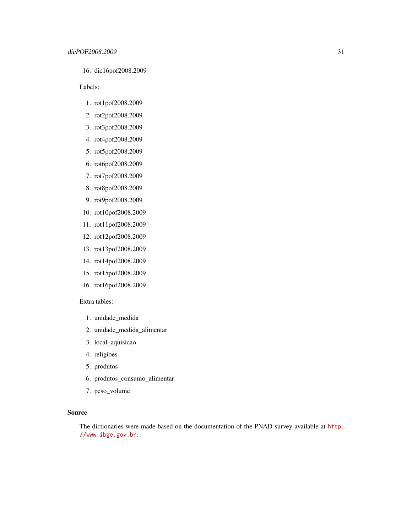16. dic16pof2008.2009

Labels:

- 1. rot1pof2008.2009
- 2. rot2pof2008.2009
- 3. rot3pof2008.2009
- 4. rot4pof2008.2009
- 5. rot5pof2008.2009
- 6. rot6pof2008.2009
- 7. rot7pof2008.2009
- 8. rot8pof2008.2009
- 9. rot9pof2008.2009
- 10. rot10pof2008.2009
- 11. rot11pof2008.2009
- 12. rot12pof2008.2009
- 13. rot13pof2008.2009
- 14. rot14pof2008.2009
- 15. rot15pof2008.2009
- 16. rot16pof2008.2009

# Extra tables:

- 1. unidade\_medida
- 2. unidade\_medida\_alimentar
- 3. local\_aquisicao
- 4. religioes
- 5. produtos
- 6. produtos\_consumo\_alimentar
- 7. peso\_volume

# Source

The dictionaries were made based on the documentation of the PNAD survey available at [http:](http://www.ibge.gov.br) [//www.ibge.gov.br](http://www.ibge.gov.br).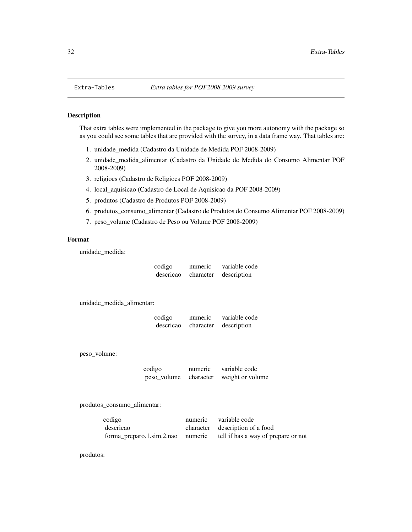# <span id="page-31-1"></span>Description

That extra tables were implemented in the package to give you more autonomy with the package so as you could see some tables that are provided with the survey, in a data frame way. That tables are:

- 1. unidade\_medida (Cadastro da Unidade de Medida POF 2008-2009)
- 2. unidade\_medida\_alimentar (Cadastro da Unidade de Medida do Consumo Alimentar POF 2008-2009)
- 3. religioes (Cadastro de Religioes POF 2008-2009)
- 4. local\_aquisicao (Cadastro de Local de Aquisicao da POF 2008-2009)
- 5. produtos (Cadastro de Produtos POF 2008-2009)
- 6. produtos\_consumo\_alimentar (Cadastro de Produtos do Consumo Alimentar POF 2008-2009)
- 7. peso\_volume (Cadastro de Peso ou Volume POF 2008-2009)

# Format

unidade\_medida:

| codigo    | numeric   | variable code |
|-----------|-----------|---------------|
| descricao | character | description   |

unidade\_medida\_alimentar:

| codigo    | numeric   | variable code |
|-----------|-----------|---------------|
| descricao | character | description   |

peso\_volume:

codigo numeric variable code peso\_volume character weight or volume

produtos\_consumo\_alimentar:

| codigo    | numeric variable code                                                 |
|-----------|-----------------------------------------------------------------------|
| descricao | character description of a food                                       |
|           | forma_preparo.1.sim.2.nao numeric tell if has a way of prepare or not |

produtos: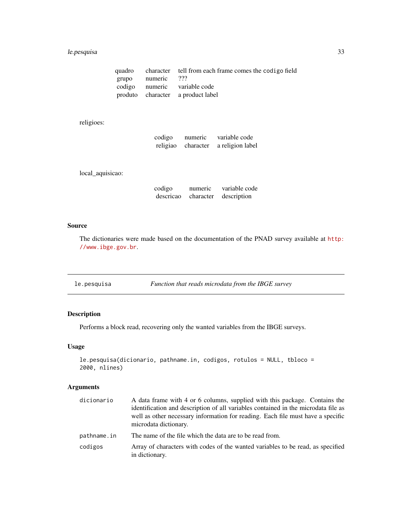# <span id="page-32-0"></span>le.pesquisa 33

|                   | quadro character tell from each frame comes the codigo field |
|-------------------|--------------------------------------------------------------|
| grupo numeric ??? |                                                              |
|                   | codigo numeric variable code                                 |
|                   | produto character a product label                            |

# religioes:

| codigo   | numeric   | variable code    |
|----------|-----------|------------------|
| religiao | character | a religion label |

local\_aquisicao:

| codigo | numeric | variable code                  |
|--------|---------|--------------------------------|
|        |         | descrica character description |

# Source

The dictionaries were made based on the documentation of the PNAD survey available at [http:](http://www.ibge.gov.br) [//www.ibge.gov.br](http://www.ibge.gov.br).

<span id="page-32-1"></span>le.pesquisa *Function that reads microdata from the IBGE survey*

# Description

Performs a block read, recovering only the wanted variables from the IBGE surveys.

# Usage

```
le.pesquisa(dicionario, pathname.in, codigos, rotulos = NULL, tbloco =
2000, nlines)
```
# Arguments

| dicionario  | A data frame with 4 or 6 columns, supplied with this package. Contains the<br>identification and description of all variables contained in the microdata file as<br>well as other necessary information for reading. Each file must have a specific<br>microdata dictionary. |
|-------------|------------------------------------------------------------------------------------------------------------------------------------------------------------------------------------------------------------------------------------------------------------------------------|
| pathname.in | The name of the file which the data are to be read from.                                                                                                                                                                                                                     |
| codigos     | Array of characters with codes of the wanted variables to be read, as specified<br>in dictionary.                                                                                                                                                                            |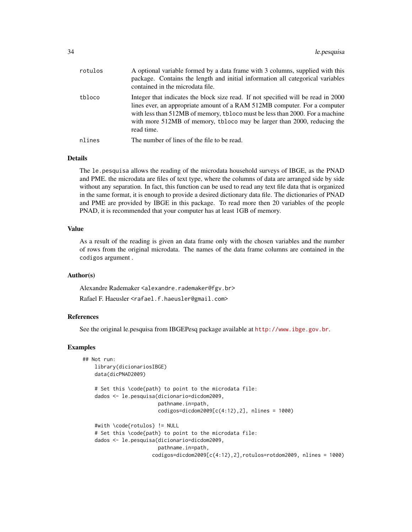| rotulos | A optional variable formed by a data frame with 3 columns, supplied with this<br>package. Contains the length and initial information all categorical variables<br>contained in the microdata file.                                                                                                                                     |
|---------|-----------------------------------------------------------------------------------------------------------------------------------------------------------------------------------------------------------------------------------------------------------------------------------------------------------------------------------------|
| tbloco  | Integer that indicates the block size read. If not specified will be read in 2000<br>lines ever, an appropriate amount of a RAM 512MB computer. For a computer<br>with less than 512MB of memory, tbloco must be less than 2000. For a machine<br>with more 512MB of memory, tbloco may be larger than 2000, reducing the<br>read time. |
| nlines  | The number of lines of the file to be read.                                                                                                                                                                                                                                                                                             |

## Details

The le.pesquisa allows the reading of the microdata household surveys of IBGE, as the PNAD and PME. the microdata are files of text type, where the columns of data are arranged side by side without any separation. In fact, this function can be used to read any text file data that is organized in the same format, it is enough to provide a desired dictionary data file. The dictionaries of PNAD and PME are provided by IBGE in this package. To read more then 20 variables of the people PNAD, it is recommended that your computer has at least 1GB of memory.

# Value

As a result of the reading is given an data frame only with the chosen variables and the number of rows from the original microdata. The names of the data frame columns are contained in the codigos argument .

## Author(s)

Alexandre Rademaker <alexandre.rademaker@fgv.br>

Rafael F. Haeusler <rafael.f.haeusler@gmail.com>

## References

See the original le.pesquisa from IBGEPesq package available at <http://www.ibge.gov.br>.

#### Examples

```
## Not run:
    library(dicionariosIBGE)
    data(dicPNAD2009)
    # Set this \code{path} to point to the microdata file:
    dados <- le.pesquisa(dicionario=dicdom2009,
                         pathname.in=path,
                         codigos=dicdom2009[c(4:12),2], nlines = 1000)
    #with \code{rotulos} != NULL
    # Set this \code{path} to point to the microdata file:
    dados <- le.pesquisa(dicionario=dicdom2009,
                         pathname.in=path,
                       codigos=dicdom2009[c(4:12),2],rotulos=rotdom2009, nlines = 1000)
```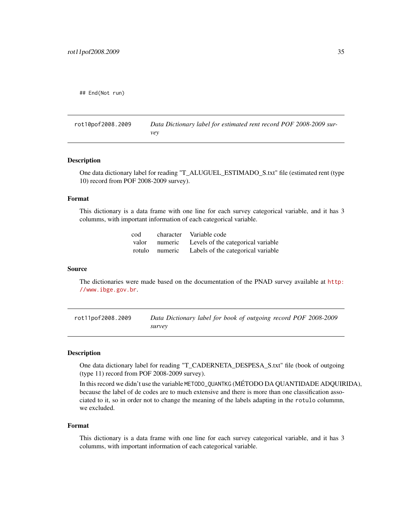<span id="page-34-0"></span>## End(Not run)

rot10pof2008.2009 *Data Dictionary label for estimated rent record POF 2008-2009 survey*

#### Description

One data dictionary label for reading "T\_ALUGUEL\_ESTIMADO\_S.txt" file (estimated rent (type 10) record from POF 2008-2009 survey).

# Format

This dictionary is a data frame with one line for each survey categorical variable, and it has 3 columms, with important information of each categorical variable.

| cod |                | character Variable code                          |
|-----|----------------|--------------------------------------------------|
|     |                | valor numeric Levels of the categorical variable |
|     | rotulo numeric | Labels of the categorical variable               |

#### Source

The dictionaries were made based on the documentation of the PNAD survey available at [http:](http://www.ibge.gov.br) [//www.ibge.gov.br](http://www.ibge.gov.br).

rot11pof2008.2009 *Data Dictionary label for book of outgoing record POF 2008-2009 survey*

#### Description

One data dictionary label for reading "T\_CADERNETA\_DESPESA\_S.txt" file (book of outgoing (type 11) record from POF 2008-2009 survey).

In this record we didn't use the variable METODO\_QUANTKG (MÉTODO DA QUANTIDADE ADQUIRIDA), because the label of de codes are to much extensive and there is more than one classification associated to it, so in order not to change the meaning of the labels adapting in the rotulo colummn, we excluded.

#### Format

This dictionary is a data frame with one line for each survey categorical variable, and it has 3 columms, with important information of each categorical variable.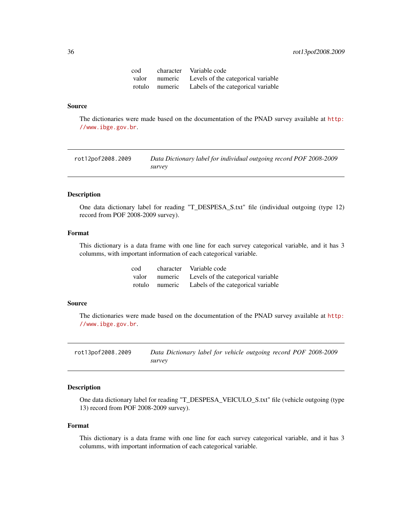<span id="page-35-0"></span>

| cod | character Variable code                           |
|-----|---------------------------------------------------|
|     | valor numeric Levels of the categorical variable  |
|     | rotulo numeric Labels of the categorical variable |

The dictionaries were made based on the documentation of the PNAD survey available at [http:](http://www.ibge.gov.br) [//www.ibge.gov.br](http://www.ibge.gov.br).

rot12pof2008.2009 *Data Dictionary label for individual outgoing record POF 2008-2009 survey*

# Description

One data dictionary label for reading "T\_DESPESA\_S.txt" file (individual outgoing (type 12) record from POF 2008-2009 survey).

# Format

This dictionary is a data frame with one line for each survey categorical variable, and it has 3 columms, with important information of each categorical variable.

| cod |                | character Variable code                          |
|-----|----------------|--------------------------------------------------|
|     |                | valor numeric Levels of the categorical variable |
|     | rotulo numeric | Labels of the categorical variable               |

#### Source

The dictionaries were made based on the documentation of the PNAD survey available at [http:](http://www.ibge.gov.br) [//www.ibge.gov.br](http://www.ibge.gov.br).

rot13pof2008.2009 *Data Dictionary label for vehicle outgoing record POF 2008-2009 survey*

# Description

One data dictionary label for reading "T\_DESPESA\_VEICULO\_S.txt" file (vehicle outgoing (type 13) record from POF 2008-2009 survey).

#### Format

This dictionary is a data frame with one line for each survey categorical variable, and it has 3 columms, with important information of each categorical variable.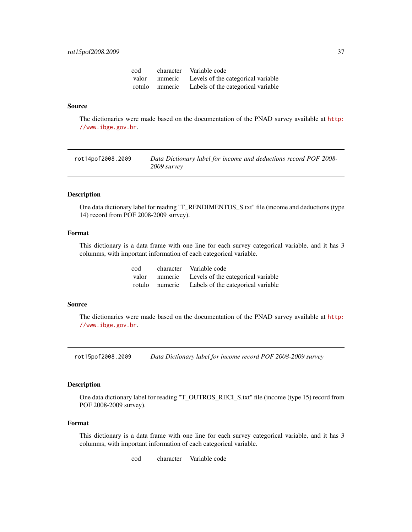<span id="page-36-0"></span>

| cod |                | character Variable code                          |
|-----|----------------|--------------------------------------------------|
|     |                | valor numeric Levels of the categorical variable |
|     | rotulo numeric | Labels of the categorical variable               |

The dictionaries were made based on the documentation of the PNAD survey available at [http:](http://www.ibge.gov.br) [//www.ibge.gov.br](http://www.ibge.gov.br).

rot14pof2008.2009 *Data Dictionary label for income and deductions record POF 2008- 2009 survey*

# Description

One data dictionary label for reading "T\_RENDIMENTOS\_S.txt" file (income and deductions (type 14) record from POF 2008-2009 survey).

# Format

This dictionary is a data frame with one line for each survey categorical variable, and it has 3 columms, with important information of each categorical variable.

| cod | character Variable code                           |
|-----|---------------------------------------------------|
|     | valor numeric Levels of the categorical variable  |
|     | rotulo numeric Labels of the categorical variable |

#### Source

The dictionaries were made based on the documentation of the PNAD survey available at [http:](http://www.ibge.gov.br) [//www.ibge.gov.br](http://www.ibge.gov.br).

rot15pof2008.2009 *Data Dictionary label for income record POF 2008-2009 survey*

#### Description

One data dictionary label for reading "T\_OUTROS\_RECI\_S.txt" file (income (type 15) record from POF 2008-2009 survey).

#### Format

This dictionary is a data frame with one line for each survey categorical variable, and it has 3 columms, with important information of each categorical variable.

cod character Variable code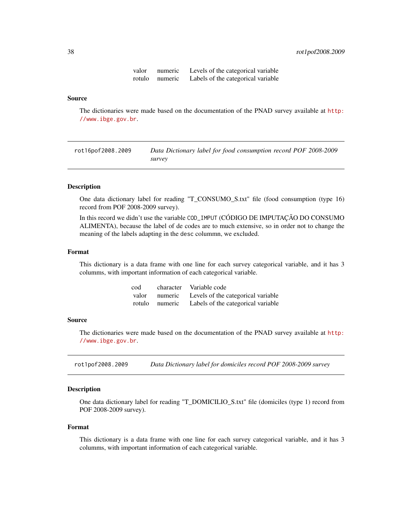| valor | numeric        | Levels of the categorical variable |
|-------|----------------|------------------------------------|
|       | rotulo numeric | Labels of the categorical variable |

<span id="page-37-0"></span>The dictionaries were made based on the documentation of the PNAD survey available at [http:](http://www.ibge.gov.br) [//www.ibge.gov.br](http://www.ibge.gov.br).

rot16pof2008.2009 *Data Dictionary label for food consumption record POF 2008-2009 survey*

# Description

One data dictionary label for reading "T\_CONSUMO\_S.txt" file (food consumption (type 16) record from POF 2008-2009 survey).

In this record we didn't use the variable COD\_IMPUT (CÓDIGO DE IMPUTAÇÃO DO CONSUMO ALIMENTA), because the label of de codes are to much extensive, so in order not to change the meaning of the labels adapting in the desc colummn, we excluded.

#### Format

This dictionary is a data frame with one line for each survey categorical variable, and it has 3 columms, with important information of each categorical variable.

| cod | character Variable code                           |
|-----|---------------------------------------------------|
|     | valor numeric Levels of the categorical variable  |
|     | rotulo numeric Labels of the categorical variable |

#### Source

The dictionaries were made based on the documentation of the PNAD survey available at [http:](http://www.ibge.gov.br) [//www.ibge.gov.br](http://www.ibge.gov.br).

rot1pof2008.2009 *Data Dictionary label for domiciles record POF 2008-2009 survey*

# Description

One data dictionary label for reading "T\_DOMICILIO\_S.txt" file (domiciles (type 1) record from POF 2008-2009 survey).

#### Format

This dictionary is a data frame with one line for each survey categorical variable, and it has 3 columms, with important information of each categorical variable.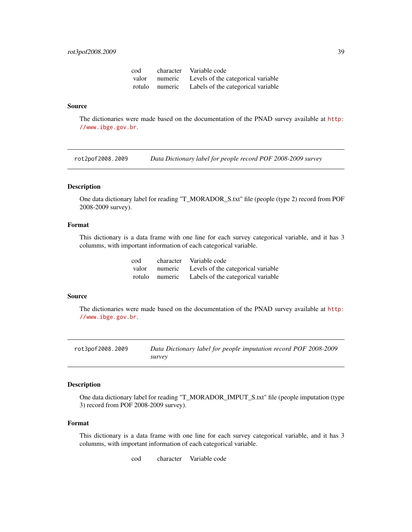# <span id="page-38-0"></span>rot3pof2008.2009 39

| cod |                | character Variable code            |
|-----|----------------|------------------------------------|
|     | valor numeric  | Levels of the categorical variable |
|     | rotulo numeric | Labels of the categorical variable |

#### Source

The dictionaries were made based on the documentation of the PNAD survey available at [http:](http://www.ibge.gov.br) [//www.ibge.gov.br](http://www.ibge.gov.br).

rot2pof2008.2009 *Data Dictionary label for people record POF 2008-2009 survey*

# Description

One data dictionary label for reading "T\_MORADOR\_S.txt" file (people (type 2) record from POF 2008-2009 survey).

# Format

This dictionary is a data frame with one line for each survey categorical variable, and it has 3 columms, with important information of each categorical variable.

| cod |                | character Variable code                          |
|-----|----------------|--------------------------------------------------|
|     |                | valor numeric Levels of the categorical variable |
|     | rotulo numeric | Labels of the categorical variable               |

# Source

The dictionaries were made based on the documentation of the PNAD survey available at [http:](http://www.ibge.gov.br) [//www.ibge.gov.br](http://www.ibge.gov.br).

rot3pof2008.2009 *Data Dictionary label for people imputation record POF 2008-2009 survey*

#### Description

One data dictionary label for reading "T\_MORADOR\_IMPUT\_S.txt" file (people imputation (type 3) record from POF 2008-2009 survey).

# Format

This dictionary is a data frame with one line for each survey categorical variable, and it has 3 columms, with important information of each categorical variable.

cod character Variable code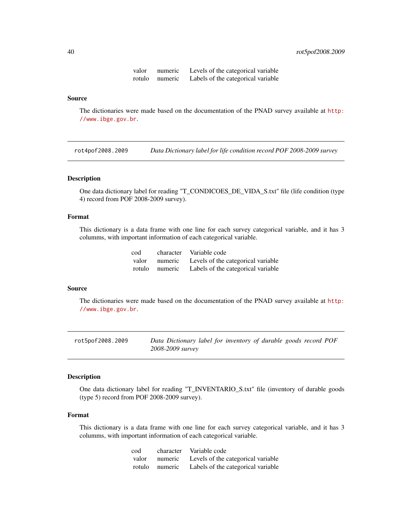| valor  | numeric | Levels of the categorical variable |
|--------|---------|------------------------------------|
| rotulo | numeric | Labels of the categorical variable |

The dictionaries were made based on the documentation of the PNAD survey available at [http:](http://www.ibge.gov.br) [//www.ibge.gov.br](http://www.ibge.gov.br).

rot4pof2008.2009 *Data Dictionary label for life condition record POF 2008-2009 survey*

#### Description

One data dictionary label for reading "T\_CONDICOES\_DE\_VIDA\_S.txt" file (life condition (type 4) record from POF 2008-2009 survey).

# Format

This dictionary is a data frame with one line for each survey categorical variable, and it has 3 columms, with important information of each categorical variable.

| cod |                | character Variable code            |
|-----|----------------|------------------------------------|
|     | valor numeric  | Levels of the categorical variable |
|     | rotulo numeric | Labels of the categorical variable |

# Source

The dictionaries were made based on the documentation of the PNAD survey available at [http:](http://www.ibge.gov.br) [//www.ibge.gov.br](http://www.ibge.gov.br).

rot5pof2008.2009 *Data Dictionary label for inventory of durable goods record POF 2008-2009 survey*

# Description

One data dictionary label for reading "T\_INVENTARIO\_S.txt" file (inventory of durable goods (type 5) record from POF 2008-2009 survey).

# Format

This dictionary is a data frame with one line for each survey categorical variable, and it has 3 columms, with important information of each categorical variable.

| cod | character Variable code                           |
|-----|---------------------------------------------------|
|     | valor numeric Levels of the categorical variable  |
|     | rotulo numeric Labels of the categorical variable |

<span id="page-39-0"></span>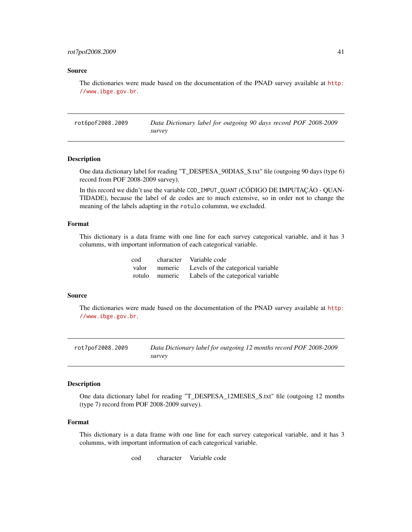<span id="page-40-0"></span>The dictionaries were made based on the documentation of the PNAD survey available at [http:](http://www.ibge.gov.br) [//www.ibge.gov.br](http://www.ibge.gov.br).

rot6pof2008.2009 *Data Dictionary label for outgoing 90 days record POF 2008-2009 survey*

#### Description

One data dictionary label for reading "T\_DESPESA\_90DIAS\_S.txt" file (outgoing 90 days (type 6) record from POF 2008-2009 survey).

In this record we didn't use the variable COD\_IMPUT\_QUANT (CÓDIGO DE IMPUTAÇÃO - QUAN-TIDADE), because the label of de codes are to much extensive, so in order not to change the meaning of the labels adapting in the rotulo colummn, we excluded.

# Format

This dictionary is a data frame with one line for each survey categorical variable, and it has 3 columms, with important information of each categorical variable.

| cod |                | character Variable code            |
|-----|----------------|------------------------------------|
|     | valor numeric  | Levels of the categorical variable |
|     | rotulo numeric | Labels of the categorical variable |

#### Source

The dictionaries were made based on the documentation of the PNAD survey available at [http:](http://www.ibge.gov.br) [//www.ibge.gov.br](http://www.ibge.gov.br).

rot7pof2008.2009 *Data Dictionary label for outgoing 12 months record POF 2008-2009 survey*

# Description

One data dictionary label for reading "T\_DESPESA\_12MESES\_S.txt" file (outgoing 12 months (type 7) record from POF 2008-2009 survey).

#### Format

This dictionary is a data frame with one line for each survey categorical variable, and it has 3 columms, with important information of each categorical variable.

cod character Variable code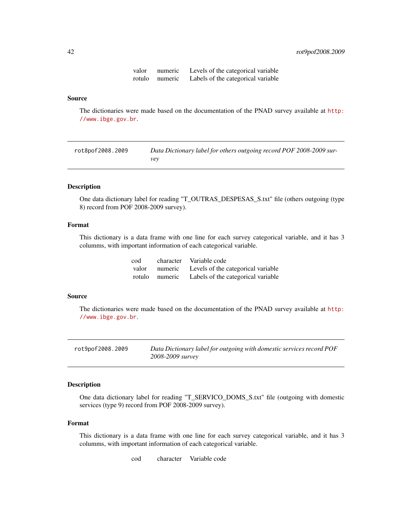| valor  | numeric | Levels of the categorical variable |
|--------|---------|------------------------------------|
| rotulo | numeric | Labels of the categorical variable |

<span id="page-41-0"></span>The dictionaries were made based on the documentation of the PNAD survey available at [http:](http://www.ibge.gov.br) [//www.ibge.gov.br](http://www.ibge.gov.br).

| rot8pof2008.2009 | Data Dictionary label for others outgoing record POF 2008-2009 sur- |
|------------------|---------------------------------------------------------------------|
|                  | vev                                                                 |

# Description

One data dictionary label for reading "T\_OUTRAS\_DESPESAS\_S.txt" file (others outgoing (type 8) record from POF 2008-2009 survey).

# Format

This dictionary is a data frame with one line for each survey categorical variable, and it has 3 columms, with important information of each categorical variable.

| cod |                | character Variable code                          |
|-----|----------------|--------------------------------------------------|
|     |                | valor numeric Levels of the categorical variable |
|     | rotulo numeric | Labels of the categorical variable               |

# Source

The dictionaries were made based on the documentation of the PNAD survey available at [http:](http://www.ibge.gov.br) [//www.ibge.gov.br](http://www.ibge.gov.br).

| rot9pof2008.2009 | Data Dictionary label for outgoing with domestic services record POF |
|------------------|----------------------------------------------------------------------|
|                  | 2008-2009 survey                                                     |

#### Description

One data dictionary label for reading "T\_SERVICO\_DOMS\_S.txt" file (outgoing with domestic services (type 9) record from POF 2008-2009 survey).

# Format

This dictionary is a data frame with one line for each survey categorical variable, and it has 3 columms, with important information of each categorical variable.

cod character Variable code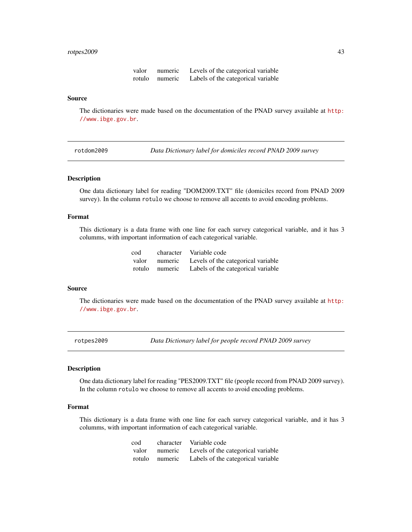#### <span id="page-42-0"></span>rotpes2009 43

| valor  | numeric | Levels of the categorical variable |
|--------|---------|------------------------------------|
| rotulo | numeric | Labels of the categorical variable |

#### Source

The dictionaries were made based on the documentation of the PNAD survey available at [http:](http://www.ibge.gov.br) [//www.ibge.gov.br](http://www.ibge.gov.br).

<span id="page-42-1"></span>rotdom2009 *Data Dictionary label for domiciles record PNAD 2009 survey*

#### Description

One data dictionary label for reading "DOM2009.TXT" file (domiciles record from PNAD 2009 survey). In the column rotulo we choose to remove all accents to avoid encoding problems.

# Format

This dictionary is a data frame with one line for each survey categorical variable, and it has 3 columms, with important information of each categorical variable.

| cod |                | character Variable code            |
|-----|----------------|------------------------------------|
|     | valor numeric  | Levels of the categorical variable |
|     | rotulo numeric | Labels of the categorical variable |

# Source

The dictionaries were made based on the documentation of the PNAD survey available at [http:](http://www.ibge.gov.br) [//www.ibge.gov.br](http://www.ibge.gov.br).

<span id="page-42-2"></span>rotpes2009 *Data Dictionary label for people record PNAD 2009 survey*

#### Description

One data dictionary label for reading "PES2009.TXT" file (people record from PNAD 2009 survey). In the column rotulo we choose to remove all accents to avoid encoding problems.

# Format

This dictionary is a data frame with one line for each survey categorical variable, and it has 3 columms, with important information of each categorical variable.

| cod |                | character Variable code            |
|-----|----------------|------------------------------------|
|     | valor numeric  | Levels of the categorical variable |
|     | rotulo numeric | Labels of the categorical variable |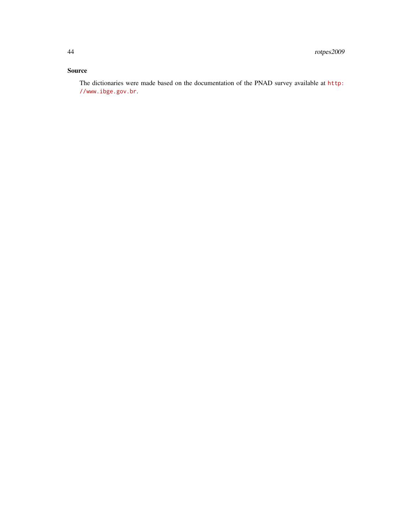The dictionaries were made based on the documentation of the PNAD survey available at [http:](http://www.ibge.gov.br) [//www.ibge.gov.br](http://www.ibge.gov.br).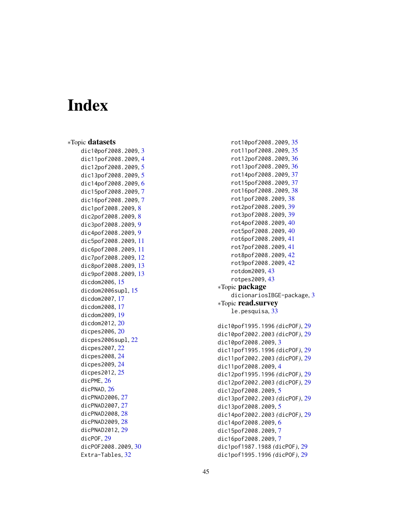# <span id="page-44-0"></span>Index

∗Topic datasets dic10pof2008.2009 , [3](#page-2-0) dic11pof2008.2009 , [4](#page-3-0) dic12pof2008.2009 , [5](#page-4-0) dic13pof2008.2009,[5](#page-4-0) dic14pof2008.2009 , [6](#page-5-0) dic15pof2008.2009 , [7](#page-6-0) dic16pof2008.2009 , [7](#page-6-0) dic1pof2008.2009 , [8](#page-7-0) dic2pof200[8](#page-7-0).2009, 8 dic3pof2008.2009 , [9](#page-8-0) dic4pof2008.2009 , [9](#page-8-0) dic5pof2008.2009 , [11](#page-10-0) dic6pof2008.2009 , [11](#page-10-0) dic7pof2008.2009 , [12](#page-11-0) dic8pof2008.2009 , [13](#page-12-0) dic9pof2008.2009 , [13](#page-12-0) dicdom2006 , [15](#page-14-0) dicdom2006supl , [15](#page-14-0) dicdom2007 , [17](#page-16-0) dicdom2008 , [17](#page-16-0) dicdom2009 , [19](#page-18-0) dicdom2012 , [20](#page-19-0) dicpes2006 , [20](#page-19-0) dicpes2006supl , [22](#page-21-0) dicpes2007 , [22](#page-21-0) dicpes2008 , [24](#page-23-0) dicpes2009 , [24](#page-23-0) dicpes2012 , [25](#page-24-0) dicPME, [26](#page-25-0) dicPNAD , [26](#page-25-0) dicPNAD2006 , [27](#page-26-0) dicPNAD2007 , [27](#page-26-0) dicPNAD2008 , [28](#page-27-0) dicPNAD2009, [28](#page-27-0) dicPNAD2012 , [29](#page-28-0) dicPOF , [29](#page-28-0) dicPOF2008.2009 , [30](#page-29-0) Extra-Tables, [32](#page-31-0)

rot10pof2008.2009 , [35](#page-34-0) rot11pof2008.2009 , [35](#page-34-0) rot12pof2008.2009 , [36](#page-35-0) rot13pof2008.2009 , [36](#page-35-0) rot14pof2008.2009 , [37](#page-36-0) rot15pof2008.2009 , [37](#page-36-0) rot16pof2008.2009 , [38](#page-37-0) rot1pof2008.2009 , [38](#page-37-0) rot2pof2008.2009 , [39](#page-38-0) rot3pof2008.2009 , [39](#page-38-0) rot4pof2008.2009 , [40](#page-39-0) rot5pof2008.2009 , [40](#page-39-0) rot6pof2008.2009 , [41](#page-40-0) rot7pof2008.2009 , [41](#page-40-0) rot8pof2008.2009 , [42](#page-41-0) rot9pof2008.2009 , [42](#page-41-0) rotdom2009 , [43](#page-42-0) rotpes2009 , [43](#page-42-0) ∗Topic package dicionariosIBGE-package , [3](#page-2-0) ∗Topic read.survey le.pesquisa, [33](#page-32-0) dic10pof1995.1996 *(*dicPOF *)* , [29](#page-28-0) dic10pof2002.2003 *(*dicPOF *)* , [29](#page-28-0) dic10pof2008.2009 , [3](#page-2-0) dic11pof1995.1996 *(*dicPOF *)* , [29](#page-28-0) dic11pof2002.2003 *(*dicPOF *)* , [29](#page-28-0) dic11pof2008.2009 , [4](#page-3-0) dic12pof1995.1996 *(*dicPOF *)* , [29](#page-28-0) dic12pof2002.2003 *(*dicPOF *)* , [29](#page-28-0) dic12pof2008.2009,[5](#page-4-0) dic13pof2002.2003 *(*dicPOF *)* , [29](#page-28-0) dic13pof2008.2009,[5](#page-4-0) dic14pof2002.2003 *(*dicPOF *)* , [29](#page-28-0) dic14pof2008.2009,[6](#page-5-0) dic15pof2008.2009 , [7](#page-6-0) dic16pof2008.2009 , [7](#page-6-0)

dic1pof1987.1988 *(*dicPOF *)* , [29](#page-28-0) dic1pof1995.1996 *(*dicPOF *)* , [29](#page-28-0)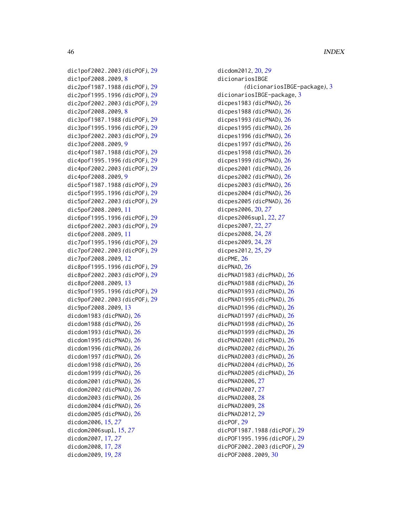46 INDEX

```
dic1pof2002.2003 (dicPOF), 29
dic1pof2008.2009, 8
dic2pof1987.1988 (dicPOF), 29
dic2pof1995.1996 (dicPOF), 29
dic2pof2002.2003 (dicPOF), 29
dic2pof2008.2009, 8
dic3pof1987.1988 (dicPOF), 29
dic3pof1995.1996 (dicPOF), 29
dic3pof2002.2003 (dicPOF), 29
dic3pof2008.2009, 9
dic4pof1987.1988 (dicPOF), 29
dic4pof1995.1996 (dicPOF), 29
dic4pof2002.2003 (dicPOF), 29
dic4pof2008.2009, 9
dic5pof1987.1988 (dicPOF), 29
dic5pof1995.1996 (dicPOF), 29
dic5pof2002.2003 (dicPOF), 29
dic5pof2008.2009, 11
dic6pof1995.1996 (dicPOF), 29
dic6pof2002.2003 (dicPOF), 29
dic6pof2008.2009, 11
dic7pof1995.1996 (dicPOF), 29
dic7pof2002.2003 (dicPOF), 29
dic7pof2008.2009, 12
dic8pof1995.1996 (dicPOF), 29
dic8pof2002.2003 (dicPOF), 29
dic8pof2008.2009, 13
dic9pof1995.1996 (dicPOF), 29
dic9pof2002.2003 (dicPOF), 29
dic9pof2008.2009, 13
dicdom1983 (dicPNAD), 26
dicdom1988 (dicPNAD), 26
dicdom1993 (dicPNAD), 26
dicdom1995 (dicPNAD), 26
dicdom1996 (dicPNAD), 26
dicdom1997 (dicPNAD), 26
dicdom1998 (dicPNAD), 26
dicdom1999 (dicPNAD), 26
dicdom2001 (dicPNAD), 26
dicdom2002 (dicPNAD), 26
dicdom2003 (dicPNAD), 26
dicdom2004 (dicPNAD), 26
dicdom2005 (dicPNAD), 26
dicdom2006, 15, 27
dicdom2006supl, 15, 27
dicdom2007, 17, 27
dicdom2008, 17, 28
```
dicdom2009, [19,](#page-18-0) *[28](#page-27-0)*

dicionariosIBGE *(*dicionariosIBGE-package*)*, [3](#page-2-0) dicionariosIBGE-package, [3](#page-2-0) dicpes1983 *(*dicPNAD*)*, [26](#page-25-0) dicpes1988 *(*dicPNAD*)*, [26](#page-25-0) dicpes1993 *(*dicPNAD*)*, [26](#page-25-0) dicpes1995 *(*dicPNAD*)*, [26](#page-25-0) dicpes1996 *(*dicPNAD*)*, [26](#page-25-0) dicpes1997 *(*dicPNAD*)*, [26](#page-25-0) dicpes1998 *(*dicPNAD*)*, [26](#page-25-0) dicpes1999 *(*dicPNAD*)*, [26](#page-25-0) dicpes2001 *(*dicPNAD*)*, [26](#page-25-0) dicpes2002 *(*dicPNAD*)*, [26](#page-25-0) dicpes2003 *(*dicPNAD*)*, [26](#page-25-0) dicpes2004 *(*dicPNAD*)*, [26](#page-25-0) dicpes2005 *(*dicPNAD*)*, [26](#page-25-0) dicpes2006, [20,](#page-19-0) *[27](#page-26-0)* dicpes2006supl, [22,](#page-21-0) *[27](#page-26-0)* dicpes2007, [22,](#page-21-0) *[27](#page-26-0)* dicpes2008, [24,](#page-23-0) *[28](#page-27-0)* dicpes2009, [24,](#page-23-0) *[28](#page-27-0)* dicpes2012, [25,](#page-24-0) *[29](#page-28-0)* dicPME, [26](#page-25-0) dicPNAD, [26](#page-25-0) dicPNAD1983 *(*dicPNAD*)*, [26](#page-25-0) dicPNAD1988 *(*dicPNAD*)*, [26](#page-25-0) dicPNAD1993 *(*dicPNAD*)*, [26](#page-25-0) dicPNAD1995 *(*dicPNAD*)*, [26](#page-25-0) dicPNAD1996 *(*dicPNAD*)*, [26](#page-25-0) dicPNAD1997 *(*dicPNAD*)*, [26](#page-25-0) dicPNAD1998 *(*dicPNAD*)*, [26](#page-25-0) dicPNAD1999 *(*dicPNAD*)*, [26](#page-25-0) dicPNAD2001 *(*dicPNAD*)*, [26](#page-25-0) dicPNAD2002 *(*dicPNAD*)*, [26](#page-25-0) dicPNAD2003 *(*dicPNAD*)*, [26](#page-25-0) dicPNAD2004 *(*dicPNAD*)*, [26](#page-25-0) dicPNAD2005 *(*dicPNAD*)*, [26](#page-25-0) dicPNAD2006, [27](#page-26-0) dicPNAD2007, [27](#page-26-0) dicPNAD2008, [28](#page-27-0) dicPNAD2009, [28](#page-27-0) dicPNAD2012, [29](#page-28-0) dicPOF1987.1988 *(*dicPOF*)*, [29](#page-28-0)

dicdom2012, [20,](#page-19-0) *[29](#page-28-0)*

dicPOF, [29](#page-28-0) dicPOF1995.1996 *(*dicPOF*)*, [29](#page-28-0) dicPOF2002.2003 *(*dicPOF*)*, [29](#page-28-0)

dicPOF2008.2009, [30](#page-29-0)